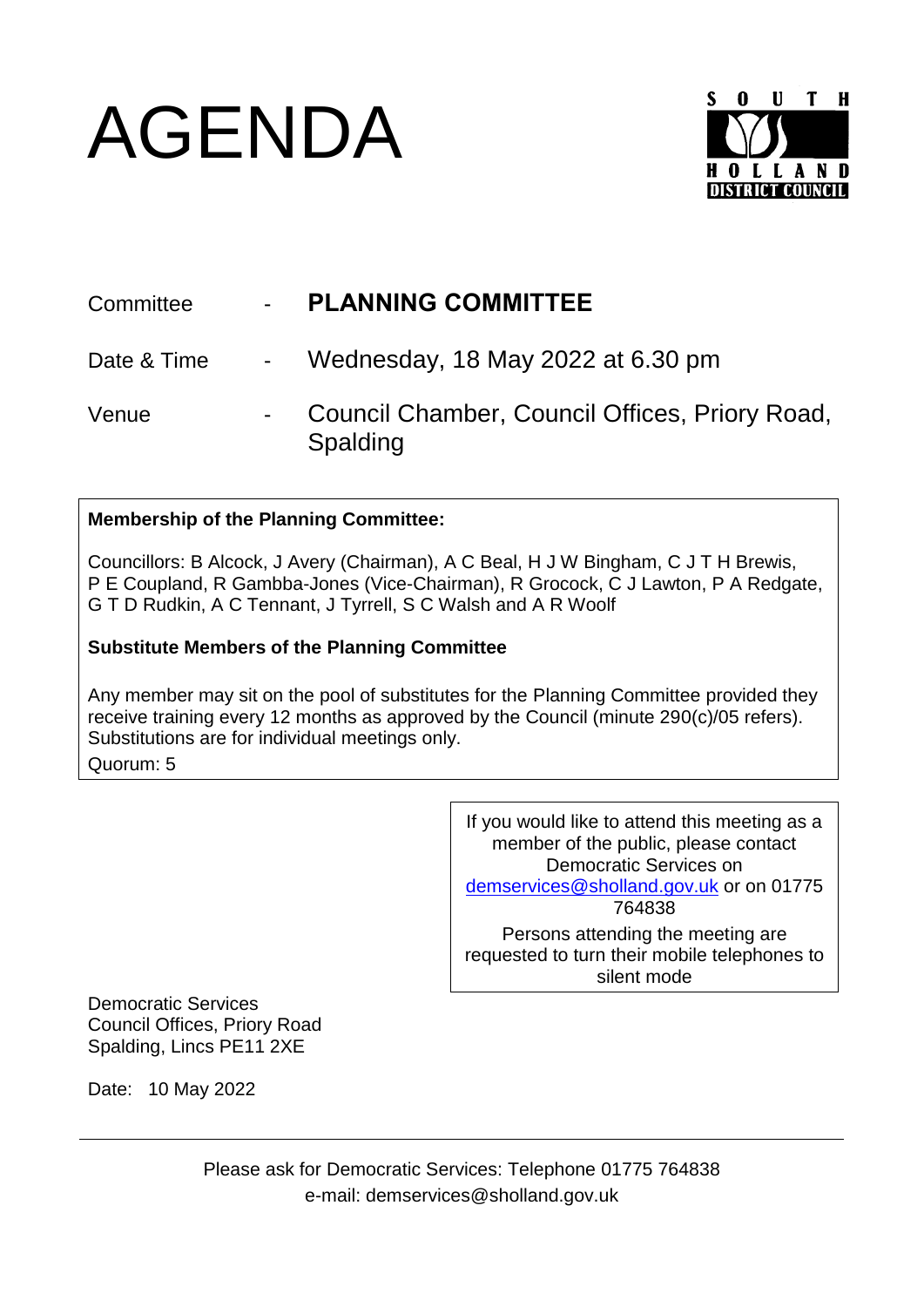## AGENDA



| Committee   | $\mathbf{m} = \mathbf{0}$ . | <b>PLANNING COMMITTEE</b>                                  |
|-------------|-----------------------------|------------------------------------------------------------|
| Date & Time |                             | - Wednesday, 18 May 2022 at 6.30 pm                        |
| Venue       |                             | Council Chamber, Council Offices, Priory Road,<br>Spalding |

## **Membership of the Planning Committee:**

Councillors: B Alcock, J Avery (Chairman), A C Beal, H J W Bingham, C J T H Brewis, P E Coupland, R Gambba-Jones (Vice-Chairman), R Grocock, C J Lawton, P A Redgate, G T D Rudkin, A C Tennant, J Tyrrell, S C Walsh and A R Woolf

## **Substitute Members of the Planning Committee**

Any member may sit on the pool of substitutes for the Planning Committee provided they receive training every 12 months as approved by the Council (minute 290(c)/05 refers). Substitutions are for individual meetings only. Quorum: 5

> If you would like to attend this meeting as a member of the public, please contact Democratic Services on [demservices@sholland.gov.uk](mailto:demservices@sholland.gov.uk) or on 01775 764838 Persons attending the meeting are requested to turn their mobile telephones to silent mode

Democratic Services Council Offices, Priory Road Spalding, Lincs PE11 2XE

Date: 10 May 2022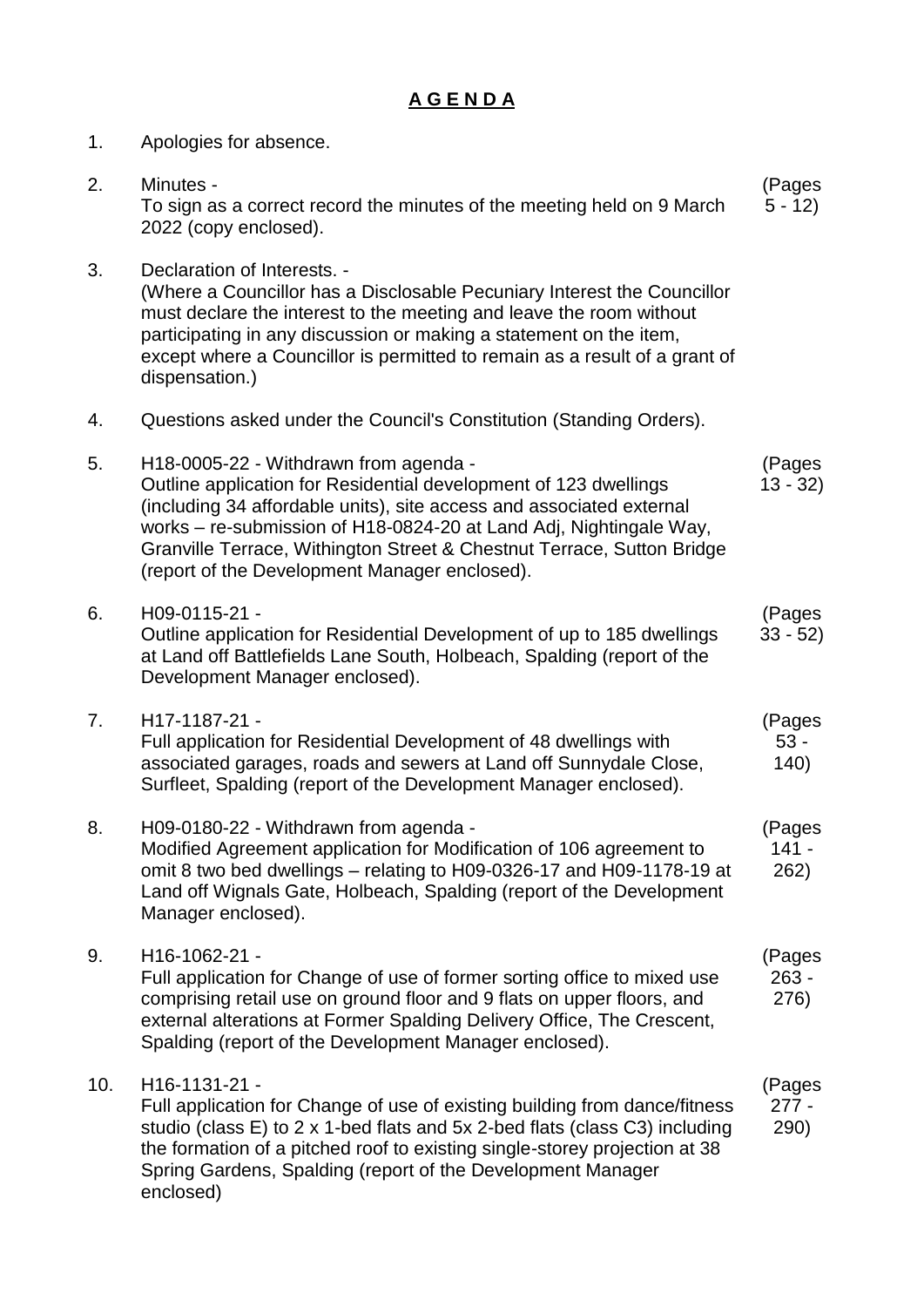## **A G E N D A**

| 1.  | Apologies for absence.                                                                                                                                                                                                                                                                                                                                                             |                           |
|-----|------------------------------------------------------------------------------------------------------------------------------------------------------------------------------------------------------------------------------------------------------------------------------------------------------------------------------------------------------------------------------------|---------------------------|
| 2.  | Minutes -<br>To sign as a correct record the minutes of the meeting held on 9 March<br>2022 (copy enclosed).                                                                                                                                                                                                                                                                       | (Pages<br>$5 - 12$        |
| 3.  | Declaration of Interests. -<br>(Where a Councillor has a Disclosable Pecuniary Interest the Councillor<br>must declare the interest to the meeting and leave the room without<br>participating in any discussion or making a statement on the item,<br>except where a Councillor is permitted to remain as a result of a grant of<br>dispensation.)                                |                           |
| 4.  | Questions asked under the Council's Constitution (Standing Orders).                                                                                                                                                                                                                                                                                                                |                           |
| 5.  | H18-0005-22 - Withdrawn from agenda -<br>Outline application for Residential development of 123 dwellings<br>(including 34 affordable units), site access and associated external<br>works - re-submission of H18-0824-20 at Land Adj, Nightingale Way,<br>Granville Terrace, Withington Street & Chestnut Terrace, Sutton Bridge<br>(report of the Development Manager enclosed). | (Pages<br>$13 - 32$       |
| 6.  | H09-0115-21 -<br>Outline application for Residential Development of up to 185 dwellings<br>at Land off Battlefields Lane South, Holbeach, Spalding (report of the<br>Development Manager enclosed).                                                                                                                                                                                | (Pages<br>$33 - 52$       |
| 7.  | H17-1187-21 -<br>Full application for Residential Development of 48 dwellings with<br>associated garages, roads and sewers at Land off Sunnydale Close,<br>Surfleet, Spalding (report of the Development Manager enclosed).                                                                                                                                                        | (Pages<br>$53 -$<br>(140) |
| 8.  | H09-0180-22 - Withdrawn from agenda -<br>Modified Agreement application for Modification of 106 agreement to<br>omit 8 two bed dwellings – relating to H09-0326-17 and H09-1178-19 at<br>Land off Wignals Gate, Holbeach, Spalding (report of the Development<br>Manager enclosed).                                                                                                | (Pages<br>$141 -$<br>262) |
| 9.  | H16-1062-21 -<br>Full application for Change of use of former sorting office to mixed use<br>comprising retail use on ground floor and 9 flats on upper floors, and<br>external alterations at Former Spalding Delivery Office, The Crescent,<br>Spalding (report of the Development Manager enclosed).                                                                            | (Pages<br>263 -<br>276)   |
| 10. | H16-1131-21 -<br>Full application for Change of use of existing building from dance/fitness<br>studio (class E) to 2 x 1-bed flats and 5x 2-bed flats (class C3) including<br>the formation of a pitched roof to existing single-storey projection at 38<br>Spring Gardens, Spalding (report of the Development Manager<br>enclosed)                                               | (Pages<br>$277 -$<br>290) |